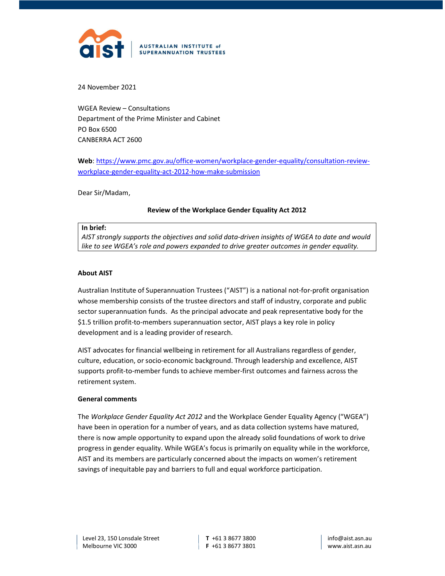

24 November 2021

WGEA Review – Consultations Department of the Prime Minister and Cabinet PO Box 6500 CANBERRA ACT 2600

## Web: https://www.pmc.gov.au/office-women/workplace-gender-equality/consultation-reviewworkplace-gender-equality-act-2012-how-make-submission

Dear Sir/Madam,

## Review of the Workplace Gender Equality Act 2012

## In brief:

AIST strongly supports the objectives and solid data-driven insights of WGEA to date and would like to see WGEA's role and powers expanded to drive greater outcomes in gender equality.

## About AIST

Australian Institute of Superannuation Trustees ("AIST") is a national not-for-profit organisation whose membership consists of the trustee directors and staff of industry, corporate and public sector superannuation funds. As the principal advocate and peak representative body for the \$1.5 trillion profit-to-members superannuation sector, AIST plays a key role in policy development and is a leading provider of research.

AIST advocates for financial wellbeing in retirement for all Australians regardless of gender, culture, education, or socio-economic background. Through leadership and excellence, AIST supports profit-to-member funds to achieve member-first outcomes and fairness across the retirement system.

### General comments

The Workplace Gender Equality Act 2012 and the Workplace Gender Equality Agency ("WGEA") have been in operation for a number of years, and as data collection systems have matured, there is now ample opportunity to expand upon the already solid foundations of work to drive progress in gender equality. While WGEA's focus is primarily on equality while in the workforce, AIST and its members are particularly concerned about the impacts on women's retirement savings of inequitable pay and barriers to full and equal workforce participation.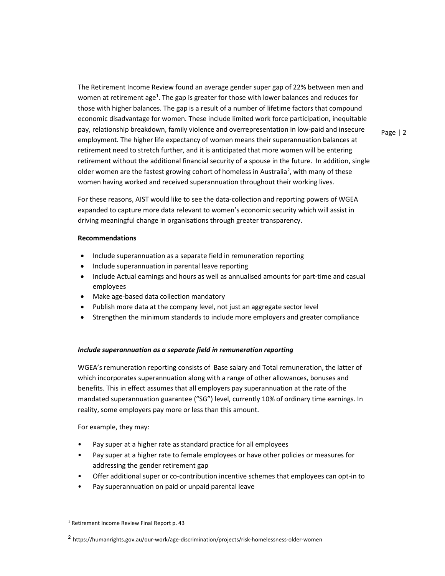The Retirement Income Review found an average gender super gap of 22% between men and women at retirement age<sup>1</sup>. The gap is greater for those with lower balances and reduces for those with higher balances. The gap is a result of a number of lifetime factors that compound economic disadvantage for women. These include limited work force participation, inequitable pay, relationship breakdown, family violence and overrepresentation in low-paid and insecure employment. The higher life expectancy of women means their superannuation balances at retirement need to stretch further, and it is anticipated that more women will be entering retirement without the additional financial security of a spouse in the future. In addition, single older women are the fastest growing cohort of homeless in Australia<sup>2</sup>, with many of these women having worked and received superannuation throughout their working lives.

Page | 2

For these reasons, AIST would like to see the data-collection and reporting powers of WGEA expanded to capture more data relevant to women's economic security which will assist in driving meaningful change in organisations through greater transparency.

### Recommendations

- Include superannuation as a separate field in remuneration reporting
- Include superannuation in parental leave reporting
- Include Actual earnings and hours as well as annualised amounts for part-time and casual employees
- Make age-based data collection mandatory
- Publish more data at the company level, not just an aggregate sector level
- Strengthen the minimum standards to include more employers and greater compliance

## Include superannuation as a separate field in remuneration reporting

WGEA's remuneration reporting consists of Base salary and Total remuneration, the latter of which incorporates superannuation along with a range of other allowances, bonuses and benefits. This in effect assumes that all employers pay superannuation at the rate of the mandated superannuation guarantee ("SG") level, currently 10% of ordinary time earnings. In reality, some employers pay more or less than this amount.

For example, they may:

- Pay super at a higher rate as standard practice for all employees
- Pay super at a higher rate to female employees or have other policies or measures for addressing the gender retirement gap
- Offer additional super or co-contribution incentive schemes that employees can opt-in to
- Pay superannuation on paid or unpaid parental leave

<sup>&</sup>lt;sup>1</sup> Retirement Income Review Final Report p. 43

<sup>2</sup> https://humanrights.gov.au/our-work/age-discrimination/projects/risk-homelessness-older-women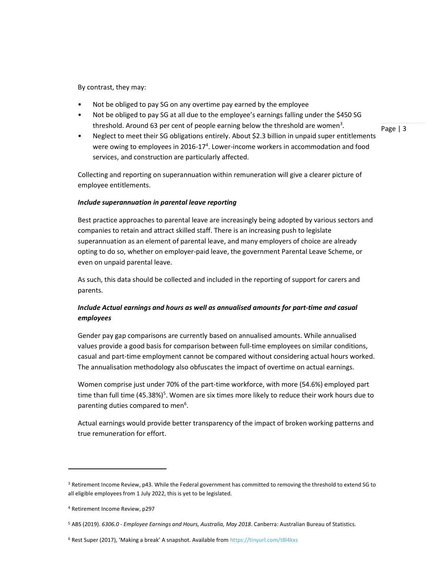By contrast, they may:

- Not be obliged to pay SG on any overtime pay earned by the employee
- Not be obliged to pay SG at all due to the employee's earnings falling under the \$450 SG threshold. Around 63 per cent of people earning below the threshold are women<sup>3</sup>.
- Neglect to meet their SG obligations entirely. About \$2.3 billion in unpaid super entitlements were owing to employees in 2016-17<sup>4</sup>. Lower-income workers in accommodation and food services, and construction are particularly affected.

Page | 3

Collecting and reporting on superannuation within remuneration will give a clearer picture of employee entitlements.

## Include superannuation in parental leave reporting

Best practice approaches to parental leave are increasingly being adopted by various sectors and companies to retain and attract skilled staff. There is an increasing push to legislate superannuation as an element of parental leave, and many employers of choice are already opting to do so, whether on employer-paid leave, the government Parental Leave Scheme, or even on unpaid parental leave.

As such, this data should be collected and included in the reporting of support for carers and parents.

# Include Actual earnings and hours as well as annualised amounts for part-time and casual employees

Gender pay gap comparisons are currently based on annualised amounts. While annualised values provide a good basis for comparison between full-time employees on similar conditions, casual and part-time employment cannot be compared without considering actual hours worked. The annualisation methodology also obfuscates the impact of overtime on actual earnings.

Women comprise just under 70% of the part-time workforce, with more (54.6%) employed part time than full time (45.38%)<sup>5</sup>. Women are six times more likely to reduce their work hours due to parenting duties compared to men<sup>6</sup>.

Actual earnings would provide better transparency of the impact of broken working patterns and true remuneration for effort.

<sup>&</sup>lt;sup>3</sup> Retirement Income Review, p43. While the Federal government has committed to removing the threshold to extend SG to all eligible employees from 1 July 2022, this is yet to be legislated.

<sup>4</sup> Retirement Income Review, p297

<sup>&</sup>lt;sup>5</sup> ABS (2019). 6306.0 - Employee Earnings and Hours, Australia, May 2018. Canberra: Australian Bureau of Statistics.

<sup>&</sup>lt;sup>6</sup> Rest Super (2017), 'Making a break' A snapshot. Available from https://tinyurl.com/t8l4kxs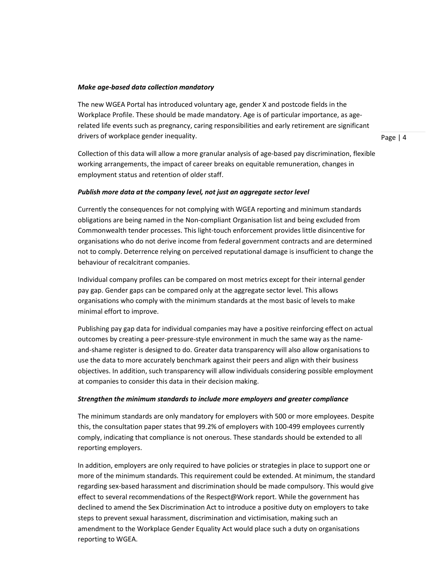## Make age-based data collection mandatory

The new WGEA Portal has introduced voluntary age, gender X and postcode fields in the Workplace Profile. These should be made mandatory. Age is of particular importance, as agerelated life events such as pregnancy, caring responsibilities and early retirement are significant drivers of workplace gender inequality.

Collection of this data will allow a more granular analysis of age-based pay discrimination, flexible working arrangements, the impact of career breaks on equitable remuneration, changes in employment status and retention of older staff.

### Publish more data at the company level, not just an aggregate sector level

Currently the consequences for not complying with WGEA reporting and minimum standards obligations are being named in the Non-compliant Organisation list and being excluded from Commonwealth tender processes. This light-touch enforcement provides little disincentive for organisations who do not derive income from federal government contracts and are determined not to comply. Deterrence relying on perceived reputational damage is insufficient to change the behaviour of recalcitrant companies.

Individual company profiles can be compared on most metrics except for their internal gender pay gap. Gender gaps can be compared only at the aggregate sector level. This allows organisations who comply with the minimum standards at the most basic of levels to make minimal effort to improve.

Publishing pay gap data for individual companies may have a positive reinforcing effect on actual outcomes by creating a peer-pressure-style environment in much the same way as the nameand-shame register is designed to do. Greater data transparency will also allow organisations to use the data to more accurately benchmark against their peers and align with their business objectives. In addition, such transparency will allow individuals considering possible employment at companies to consider this data in their decision making.

### Strengthen the minimum standards to include more employers and greater compliance

The minimum standards are only mandatory for employers with 500 or more employees. Despite this, the consultation paper states that 99.2% of employers with 100-499 employees currently comply, indicating that compliance is not onerous. These standards should be extended to all reporting employers.

In addition, employers are only required to have policies or strategies in place to support one or more of the minimum standards. This requirement could be extended. At minimum, the standard regarding sex-based harassment and discrimination should be made compulsory. This would give effect to several recommendations of the Respect@Work report. While the government has declined to amend the Sex Discrimination Act to introduce a positive duty on employers to take steps to prevent sexual harassment, discrimination and victimisation, making such an amendment to the Workplace Gender Equality Act would place such a duty on organisations reporting to WGEA.